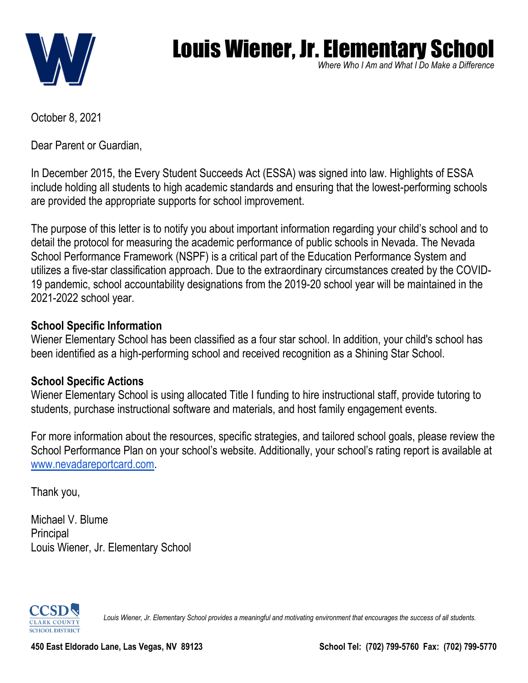

# Louis Wiener, Jr. Elementary School

*Where Who I Am and What I Do Make a Difference* Make a Dillerence<br>.

October 8, 2021

Dear Parent or Guardian,

In December 2015, the Every Student Succeeds Act (ESSA) was signed into law. Highlights of ESSA include holding all students to high academic standards and ensuring that the lowest-performing schools are provided the appropriate supports for school improvement.

The purpose of this letter is to notify you about important information regarding your child's school and to detail the protocol for measuring the academic performance of public schools in Nevada. The Nevada School Performance Framework (NSPF) is a critical part of the Education Performance System and utilizes a five-star classification approach. Due to the extraordinary circumstances created by the COVID-19 pandemic, school accountability designations from the 2019-20 school year will be maintained in the 2021-2022 school year.

### **School Specific Information**

Wiener Elementary School has been classified as a four star school. In addition, your child's school has been identified as a high-performing school and received recognition as a Shining Star School.

### **School Specific Actions**

Wiener Elementary School is using allocated Title I funding to hire instructional staff, provide tutoring to students, purchase instructional software and materials, and host family engagement events.

For more information about the resources, specific strategies, and tailored school goals, please review the School Performance Plan on your school's website. Additionally, your school's rating report is available a[t](http://www.nevadareportcard.com/) [www.nevadareportcard.com.](http://www.nevadareportcard.com/)

Thank you,

Michael V. Blume **Principal** Louis Wiener, Jr. Elementary School



*Louis Wiener, Jr. Elementary School provides a meaningful and motivating environment that encourages the success of all students.*